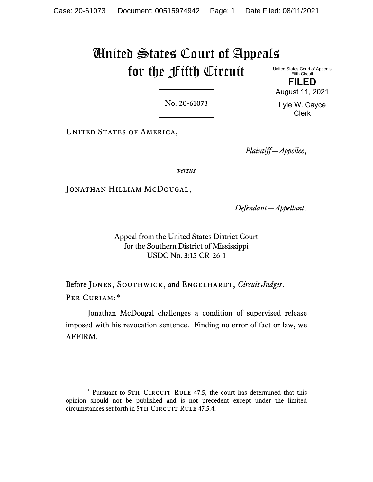# United States Court of Appeals for the Fifth Circuit United States Court of Appeals

Fifth Circuit **FILED** August 11, 2021

No. 20-61073

UNITED STATES OF AMERICA,

*Plaintiff—Appellee*,

*versus*

JONATHAN HILLIAM MCDOUGAL,

*Defendant—Appellant*.

Appeal from the United States District Court for the Southern District of Mississippi USDC No. 3:15-CR-26-1

Before JONES, SOUTHWICK, and ENGELHARDT, *Circuit Judges*. PER CURIAM:[\\*](#page-0-0)

Jonathan McDougal challenges a condition of supervised release imposed with his revocation sentence. Finding no error of fact or law, we AFFIRM.

Lyle W. Cayce Clerk

<span id="page-0-0"></span><sup>\*</sup> Pursuant to 5TH CIRCUIT RULE 47.5, the court has determined that this opinion should not be published and is not precedent except under the limited circumstances set forth in 5TH CIRCUIT RULE 47.5.4.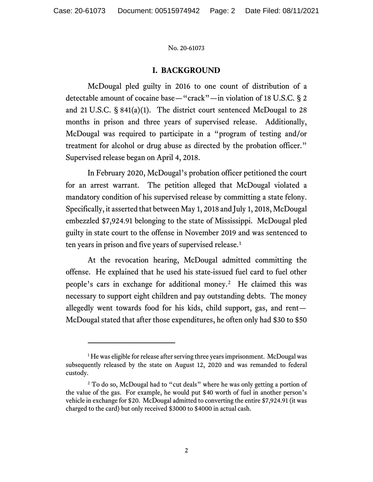# **I. BACKGROUND**

McDougal pled guilty in 2016 to one count of distribution of a detectable amount of cocaine base—"crack"—in violation of 18 U.S.C. § 2 and 21 U.S.C.  $\S 841(a)(1)$ . The district court sentenced McDougal to 28 months in prison and three years of supervised release. Additionally, McDougal was required to participate in a "program of testing and/or treatment for alcohol or drug abuse as directed by the probation officer." Supervised release began on April 4, 2018.

In February 2020, McDougal's probation officer petitioned the court for an arrest warrant. The petition alleged that McDougal violated a mandatory condition of his supervised release by committing a state felony. Specifically, it asserted that between May 1, 2018 and July 1, 2018, McDougal embezzled \$7,924.91 belonging to the state of Mississippi. McDougal pled guilty in state court to the offense in November 2019 and was sentenced to ten years in prison and five years of supervised release.<sup>[1](#page-1-0)</sup>

At the revocation hearing, McDougal admitted committing the offense. He explained that he used his state-issued fuel card to fuel other people's cars in exchange for additional money.<sup>2</sup> He claimed this was necessary to support eight children and pay outstanding debts. The money allegedly went towards food for his kids, child support, gas, and rent— McDougal stated that after those expenditures, he often only had \$30 to \$50

<span id="page-1-0"></span><sup>&</sup>lt;sup>1</sup>He was eligible for release after serving three years imprisonment. McDougal was subsequently released by the state on August 12, 2020 and was remanded to federal custody.

<span id="page-1-1"></span><sup>&</sup>lt;sup>2</sup> To do so, McDougal had to "cut deals" where he was only getting a portion of the value of the gas. For example, he would put \$40 worth of fuel in another person's vehicle in exchange for \$20. McDougal admitted to converting the entire \$7,924.91 (it was charged to the card) but only received \$3000 to \$4000 in actual cash.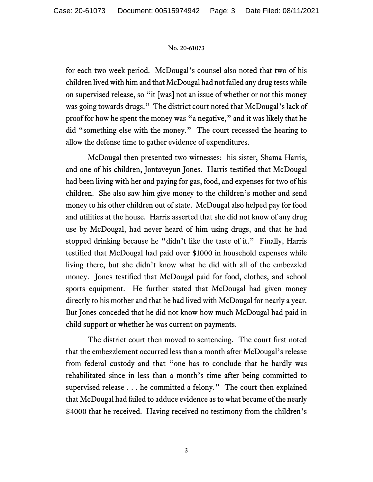for each two-week period. McDougal's counsel also noted that two of his children lived with him and that McDougal had not failed any drug tests while on supervised release, so "it [was] not an issue of whether or not this money was going towards drugs." The district court noted that McDougal's lack of proof for how he spent the money was "a negative," and it was likely that he did "something else with the money." The court recessed the hearing to allow the defense time to gather evidence of expenditures.

McDougal then presented two witnesses: his sister, Shama Harris, and one of his children, Jontaveyun Jones. Harris testified that McDougal had been living with her and paying for gas, food, and expenses for two of his children. She also saw him give money to the children's mother and send money to his other children out of state. McDougal also helped pay for food and utilities at the house. Harris asserted that she did not know of any drug use by McDougal, had never heard of him using drugs, and that he had stopped drinking because he "didn't like the taste of it." Finally, Harris testified that McDougal had paid over \$1000 in household expenses while living there, but she didn't know what he did with all of the embezzled money. Jones testified that McDougal paid for food, clothes, and school sports equipment. He further stated that McDougal had given money directly to his mother and that he had lived with McDougal for nearly a year. But Jones conceded that he did not know how much McDougal had paid in child support or whether he was current on payments.

The district court then moved to sentencing. The court first noted that the embezzlement occurred less than a month after McDougal's release from federal custody and that "one has to conclude that he hardly was rehabilitated since in less than a month's time after being committed to supervised release . . . he committed a felony." The court then explained that McDougal had failed to adduce evidence as to what became of the nearly \$4000 that he received. Having received no testimony from the children's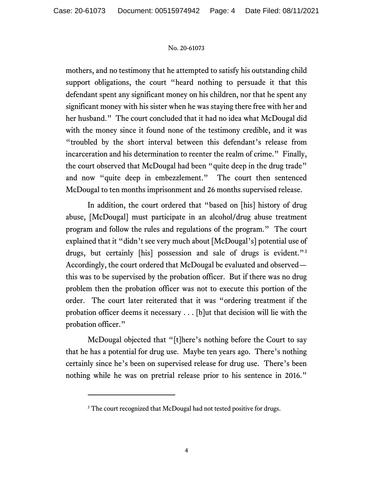mothers, and no testimony that he attempted to satisfy his outstanding child support obligations, the court "heard nothing to persuade it that this defendant spent any significant money on his children, nor that he spent any significant money with his sister when he was staying there free with her and her husband." The court concluded that it had no idea what McDougal did with the money since it found none of the testimony credible, and it was "troubled by the short interval between this defendant's release from incarceration and his determination to reenter the realm of crime." Finally, the court observed that McDougal had been "quite deep in the drug trade" and now "quite deep in embezzlement." The court then sentenced McDougal to ten months imprisonment and 26 months supervised release.

In addition, the court ordered that "based on [his] history of drug abuse, [McDougal] must participate in an alcohol/drug abuse treatment program and follow the rules and regulations of the program." The court explained that it "didn't see very much about [McDougal's] potential use of drugs, but certainly [his] possession and sale of drugs is evident."<sup>[3](#page-3-0)</sup> Accordingly, the court ordered that McDougal be evaluated and observed this was to be supervised by the probation officer. But if there was no drug problem then the probation officer was not to execute this portion of the order. The court later reiterated that it was "ordering treatment if the probation officer deems it necessary . . . [b]ut that decision will lie with the probation officer."

McDougal objected that "[t]here's nothing before the Court to say that he has a potential for drug use. Maybe ten years ago. There's nothing certainly since he's been on supervised release for drug use. There's been nothing while he was on pretrial release prior to his sentence in 2016."

<span id="page-3-0"></span><sup>&</sup>lt;sup>3</sup> The court recognized that McDougal had not tested positive for drugs.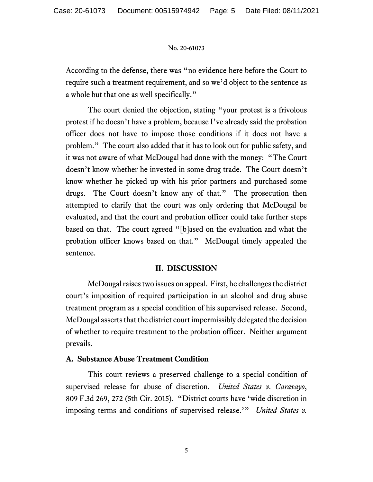According to the defense, there was "no evidence here before the Court to require such a treatment requirement, and so we'd object to the sentence as a whole but that one as well specifically."

The court denied the objection, stating "your protest is a frivolous protest if he doesn't have a problem, because I've already said the probation officer does not have to impose those conditions if it does not have a problem." The court also added that it has to look out for public safety, and it was not aware of what McDougal had done with the money: "The Court doesn't know whether he invested in some drug trade. The Court doesn't know whether he picked up with his prior partners and purchased some drugs. The Court doesn't know any of that." The prosecution then attempted to clarify that the court was only ordering that McDougal be evaluated, and that the court and probation officer could take further steps based on that. The court agreed "[b]ased on the evaluation and what the probation officer knows based on that." McDougal timely appealed the sentence.

## **II. DISCUSSION**

McDougal raises two issues on appeal. First, he challenges the district court's imposition of required participation in an alcohol and drug abuse treatment program as a special condition of his supervised release. Second, McDougal asserts that the district court impermissibly delegated the decision of whether to require treatment to the probation officer. Neither argument prevails.

## **A. Substance Abuse Treatment Condition**

This court reviews a preserved challenge to a special condition of supervised release for abuse of discretion. *United States v. Caravayo*, 809 F.3d 269, 272 (5th Cir. 2015). "District courts have 'wide discretion in imposing terms and conditions of supervised release.'" *United States v.*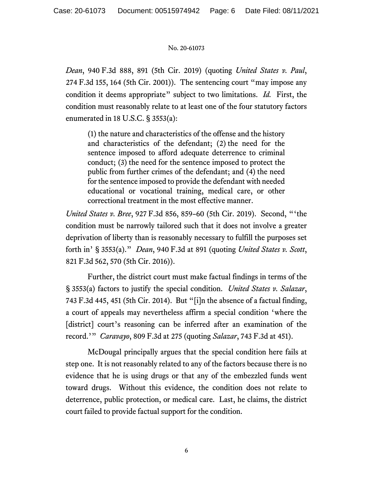*Dean*, 940 F.3d 888, 891 (5th Cir. 2019) (quoting *United States v. Paul*, 274 F.3d 155, 164 (5th Cir. 2001)). The sentencing court "may impose any condition it deems appropriate" subject to two limitations. *Id.* First, the condition must reasonably relate to at least one of the four statutory factors enumerated in 18 U.S.C. § 3553(a):

(1) the nature and characteristics of the offense and the history and characteristics of the defendant; (2) the need for the sentence imposed to afford adequate deterrence to criminal conduct; (3) the need for the sentence imposed to protect the public from further crimes of the defendant; and (4) the need for the sentence imposed to provide the defendant with needed educational or vocational training, medical care, or other correctional treatment in the most effective manner.

*United States v. Bree*, 927 F.3d 856, 859–60 (5th Cir. 2019). Second, "'the condition must be narrowly tailored such that it does not involve a greater deprivation of liberty than is reasonably necessary to fulfill the purposes set forth in' § 3553(a)." *Dean*, 940 F.3d at 891 (quoting *United States v. Scott*, 821 F.3d 562, 570 (5th Cir. 2016)).

Further, the district court must make factual findings in terms of the § 3553(a) factors to justify the special condition. *United States v. Salazar*, 743 F.3d 445, 451 (5th Cir. 2014). But "[i]n the absence of a factual finding, a court of appeals may nevertheless affirm a special condition 'where the [district] court's reasoning can be inferred after an examination of the record.'" *Caravayo*, 809 F.3d at 275 (quoting *Salazar*, 743 F.3d at 451).

McDougal principally argues that the special condition here fails at step one. It is not reasonably related to any of the factors because there is no evidence that he is using drugs or that any of the embezzled funds went toward drugs. Without this evidence, the condition does not relate to deterrence, public protection, or medical care. Last, he claims, the district court failed to provide factual support for the condition.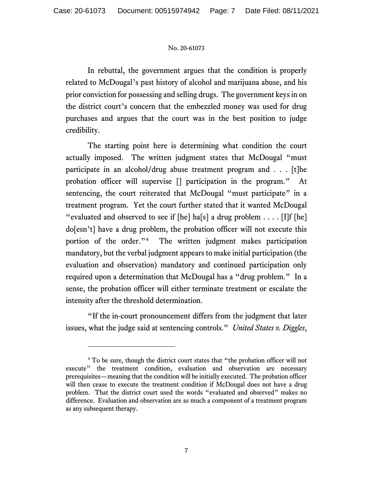In rebuttal, the government argues that the condition is properly related to McDougal's past history of alcohol and marijuana abuse, and his prior conviction for possessing and selling drugs. The government keys in on the district court's concern that the embezzled money was used for drug purchases and argues that the court was in the best position to judge credibility.

The starting point here is determining what condition the court actually imposed. The written judgment states that McDougal "must participate in an alcohol/drug abuse treatment program and . . . [t]he probation officer will supervise [] participation in the program." At sentencing, the court reiterated that McDougal "must participate" in a treatment program. Yet the court further stated that it wanted McDougal "evaluated and observed to see if  $[he]$  ha $[s]$  a drug problem  $\dots$ . [I]f  $[he]$ do[esn't] have a drug problem, the probation officer will not execute this portion of the order."[4](#page-6-0) The written judgment makes participation mandatory, but the verbal judgment appears to make initial participation (the evaluation and observation) mandatory and continued participation only required upon a determination that McDougal has a "drug problem." In a sense, the probation officer will either terminate treatment or escalate the intensity after the threshold determination.

"If the in-court pronouncement differs from the judgment that later issues, what the judge said at sentencing controls." *United States v. Diggles*,

<span id="page-6-0"></span><sup>4</sup> To be sure, though the district court states that "the probation officer will not execute" the treatment condition, evaluation and observation are necessary prerequisites—meaning that the condition will be initially executed. The probation officer will then cease to execute the treatment condition if McDougal does not have a drug problem. That the district court used the words "evaluated and observed" makes no difference. Evaluation and observation are as much a component of a treatment program as any subsequent therapy.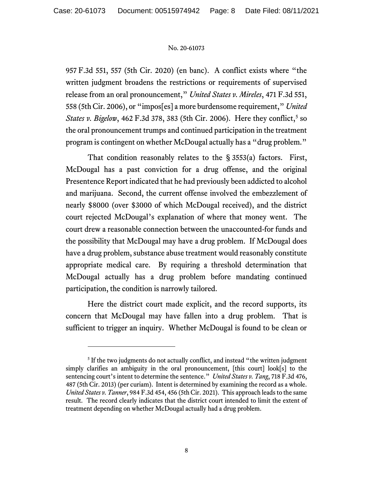957 F.3d 551, 557 (5th Cir. 2020) (en banc). A conflict exists where "the written judgment broadens the restrictions or requirements of supervised release from an oral pronouncement," *United States v. Mireles*, 471 F.3d 551, 558 (5th Cir. 2006), or "impos[es] a more burdensome requirement," *United States v. Bigelow*, 462 F.3d 378, 383 ([5](#page-7-0)th Cir. 2006). Here they conflict,<sup>5</sup> so the oral pronouncement trumps and continued participation in the treatment program is contingent on whether McDougal actually has a "drug problem."

That condition reasonably relates to the § 3553(a) factors. First, McDougal has a past conviction for a drug offense, and the original Presentence Report indicated that he had previously been addicted to alcohol and marijuana. Second, the current offense involved the embezzlement of nearly \$8000 (over \$3000 of which McDougal received), and the district court rejected McDougal's explanation of where that money went. The court drew a reasonable connection between the unaccounted-for funds and the possibility that McDougal may have a drug problem. If McDougal does have a drug problem, substance abuse treatment would reasonably constitute appropriate medical care. By requiring a threshold determination that McDougal actually has a drug problem before mandating continued participation, the condition is narrowly tailored.

Here the district court made explicit, and the record supports, its concern that McDougal may have fallen into a drug problem. That is sufficient to trigger an inquiry. Whether McDougal is found to be clean or

<span id="page-7-0"></span><sup>&</sup>lt;sup>5</sup> If the two judgments do not actually conflict, and instead "the written judgment" simply clarifies an ambiguity in the oral pronouncement, [this court] look[s] to the sentencing court's intent to determine the sentence." *United States v. Tang*, 718 F.3d 476, 487 (5th Cir. 2013) (per curiam). Intent is determined by examining the record as a whole. *United States v. Tanner*, 984 F.3d 454, 456 (5th Cir. 2021). This approach leads to the same result. The record clearly indicates that the district court intended to limit the extent of treatment depending on whether McDougal actually had a drug problem.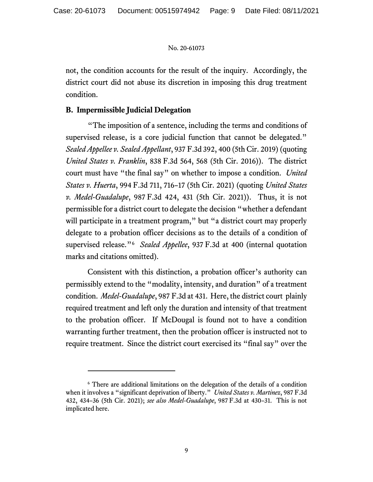not, the condition accounts for the result of the inquiry. Accordingly, the district court did not abuse its discretion in imposing this drug treatment condition.

# **B. Impermissible Judicial Delegation**

"The imposition of a sentence, including the terms and conditions of supervised release, is a core judicial function that cannot be delegated." *Sealed Appellee v. Sealed Appellant*, 937 F.3d 392, 400 (5th Cir. 2019) (quoting *United States v. Franklin*, 838 F.3d 564, 568 (5th Cir. 2016)). The district court must have "the final say" on whether to impose a condition. *United States v. Huerta*, 994 F.3d 711, 716–17 (5th Cir. 2021) (quoting *United States v. Medel-Guadalupe*, 987 F.3d 424, 431 (5th Cir. 2021)). Thus, it is not permissible for a district court to delegate the decision "whether a defendant will participate in a treatment program," but "a district court may properly delegate to a probation officer decisions as to the details of a condition of supervised release."[6](#page-8-0) *Sealed Appellee*, 937 F.3d at 400 (internal quotation marks and citations omitted).

Consistent with this distinction, a probation officer's authority can permissibly extend to the "modality, intensity, and duration" of a treatment condition. *Medel-Guadalupe*, 987 F.3d at 431. Here, the district court plainly required treatment and left only the duration and intensity of that treatment to the probation officer. If McDougal is found not to have a condition warranting further treatment, then the probation officer is instructed not to require treatment. Since the district court exercised its "final say" over the

<span id="page-8-0"></span><sup>6</sup> There are additional limitations on the delegation of the details of a condition when it involves a "significant deprivation of liberty." *United States v. Martinez*, 987 F.3d 432, 434–36 (5th Cir. 2021); *see also Medel-Guadalupe*, 987 F.3d at 430–31. This is not implicated here.